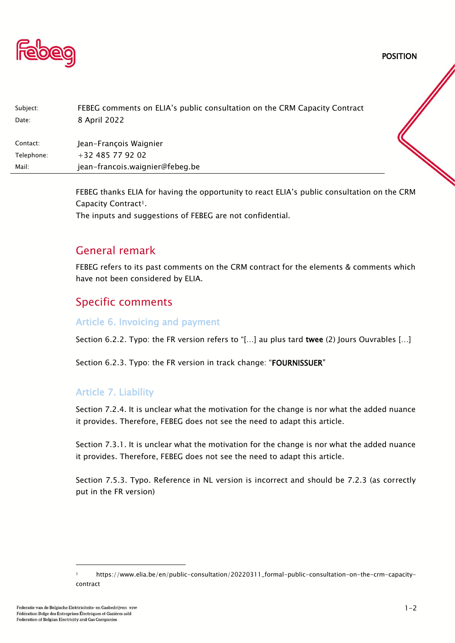

Subject: FEBEG comments on ELIA's public consultation on the CRM Capacity Contract Date: 8 April 2022 Contact: Jean-Francois Waignier Telephone: +32 485 77 92 02 Mail: jean-francois.waignier@febeg.be

> FEBEG thanks ELIA for having the opportunity to react ELIA's public consultation on the CRM Capacity Contract<sup>1</sup>. The inputs and suggestions of FEBEG are not confidential.

# General remark

FEBEG refers to its past comments on the CRM contract for the elements & comments which have not been considered by ELIA.

## Specific comments

#### Article 6. Invoicing and payment

Section 6.2.2. Typo: the FR version refers to "[...] au plus tard twee (2) Jours Ouvrables [...]

Section 6.2.3. Typo: the FR version in track change: "FOURNISSUER"

## Article 7. Liability

Section 7.2.4. It is unclear what the motivation for the change is nor what the added nuance it provides. Therefore, FEBEG does not see the need to adapt this article.

Section 7.3.1. It is unclear what the motivation for the change is nor what the added nuance it provides. Therefore, FEBEG does not see the need to adapt this article.

Section 7.5.3. Typo. Reference in NL version is incorrect and should be 7.2.3 (as correctly put in the FR version)

POSITION

<sup>1</sup> https://www.elia.be/en/public-consultation/20220311\_formal-public-consultation-on-the-crm-capacitycontract